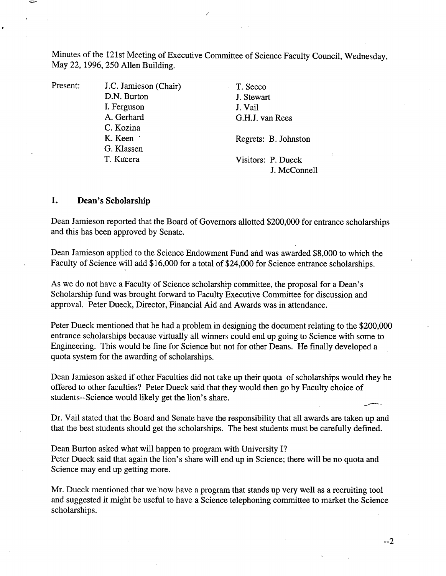Minutes of the 121st Meeting of Executive Committee of Science Faculty Council, Wednesday, May 22, 1996, *250* Allen Building.

Present: J.C. Jamieson (Chair) D.N. Burton I. Ferguson A. Gerhard C. Kozina K. Keen G. Kiassen T. Kucera

T. Secco J. Stewart J. Vail G.H.J. van Rees

Regrets: B. Johnston

Visitors: P. Dueck J. McConnell

## **1. Dean's Scholarship**

Dean Jamieson reported that the Board of Governors allotted \$200,000 for entrance scholarships and this has been approved by Senate.

Dean Jamieson applied to the Science Endowment Fund and was awarded \$8,000 to which the Faculty of Science will add \$16,000 for a total of \$24,000 for Science entrance scholarships.

As we do not have a Faculty of Science scholarship committee, the proposal for a Dean's Scholarship fund was brought forward to Faculty Executive Committee for discussion and approval. Peter Dueck, Director, Financial Aid and Awards was in attendance.

Peter Dueck mentioned that he had a problem in designing the document relating to the \$200,000 entrance scholarships because virtually all winners could end up going to Science with some to Engineering. This would be fine for Science but not for other Deans. He finally developed a quota system for the awarding of scholarships.

Dean Jamieson asked if other Faculties did not take up their quota of scholarships would they be offered to other faculties? Peter Dueck said that they would then go by Faculty choice of students--Science would likely get the lion's share.

Dr. Vail stated that the Board and Senate have the responsibility that all awards are taken up and that the best students should get the scholarships. The best students must be carefully defined.

Dean Burton asked what will happen to program with University I? Peter Dueck said that again the lion's share will end up in Science; there will be no quota and Science may end up getting more.

Mr. Dueck mentioned that we 'now have a program that stands up very well as a recruiting tool and suggested it might be useful to have a Science telephoning committee to market the Science scholarships.

--2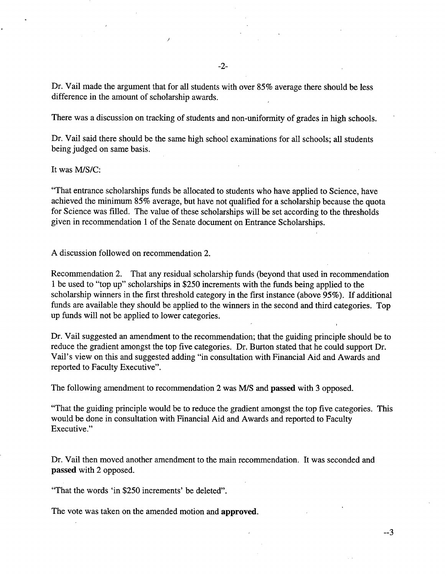Dr. Vail made the argument that for all students with over *85%* average there should be less difference in the amount of scholarship awards.

There was a discussion on tracking of students and non-uniformity of grades in high schools.

Dr. Vail said there should be the same high school examinations for all schools; all students being judged on same basis.

It was MIS/C:

"That entrance scholarships funds be allocated to students who have applied to Science, have achieved the minimum *85%* average, but have not qualified for a scholarship because the quota for Science was filled. The value of these scholarships will be set according to the thresholds given in recommendation 1 of the Senate document on Entrance Scholarships.

A discussion followed on recommendation 2.

Recommendation 2. That any residual scholarship funds (beyond that used in recommendation 1 be used to "top up" scholarships in \$250 increments with the funds being applied to the scholarship winners in the first threshold category in the first instance (above *95%).* If additional funds are available they should be applied to the winners in the second and third categories. Top up funds will not be applied to lower categories.

Dr. Vail suggested an amendment to the recommendation; that the guiding principle should be to reduce the gradient amongst the top five categories. Dr. Burton stated that he could support Dr. Vail's view on this and suggested adding "in consultation with Financial Aid and Awards and reported to Faculty Executive".

The following amendment to recommendation 2 was M/S and passed with 3 opposed.

"That the guiding principle would be to reduce the gradient amongst the top five categories. This would be done in consultation with Financial Aid and Awards and reported to Faculty Executive."

Dr. Vail then moved another amendment to the main recommendation. It was seconded and **passed** with 2 opposed.

"That the words 'in \$250 increments' be deleted".

The vote was taken on the amended motion and **approved.**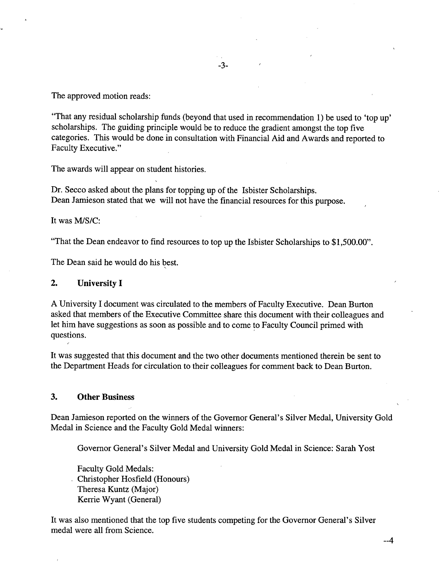The approved motion reads:

"That any residual scholarship funds (beyond that used in recommendation 1) be used to 'top up' scholarships. The guiding principle would be to reduce the gradient amongst the top five categories. This would be done in consultation with Financial Aid and Awards and reported to Faculty Executive."

The awards will appear on student histories.

Dr. Secco asked about the plans for topping up of the Isbister Scholarships. Dean Jamieson stated that we will not have the financial resources for this purpose.

It was MIS/C:

"That the Dean endeavor to find resources to top up the Isbister Scholarships to \$1,500.00".

The Dean said he would do his best.

### $2.$ **University I**

A University I document was circulated to the members of Faculty Executive. Dean Burton asked that members of the Executive Committee share this document with their colleagues and let him have suggestions as soon as possible and to come to Faculty Council primed with questions.

It was suggested that this document and the two other documents mentioned therein be sent to the Department Heads for circulation to their colleagues for comment back to Dean Burton.

### $3.$ **Other Business**

Dean Jamieson reported on the winners of the Governor General's Silver Medal, University Gold Medal in Science and the Faculty Gold Medal winners:

Governor General's Silver Medal and University Gold Medal in Science: Sarah Yost

Faculty Gold Medals: Christopher Hosfield (Honours) Theresa Kuntz (Major) Kerrie Wyant (General)

It was also mentioned that the top five students competing for the Governor General's Silver medal were all from Science.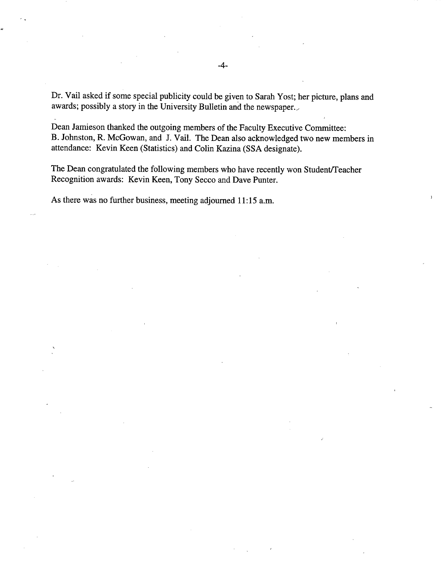Dr. Vail asked if some special publicity could be given to Sarah Yost; her picture, plans and awards; possibly a story in the University Bulletin and the newspaper..

Dean Jamieson thanked the outgoing members of the Faculty Executive Committee: B. Johnston, R. McGowan, and J. Vail. The Dean also acknowledged two new members in attendance: Kevin Keen (Statistics) and Colin Kazina (SSA designate).

The Dean congratulated the following members who have recently won Student/Teacher Recognition awards: Kevin Keen, Tony Secco and Dave Punter.

As there was no further business, meeting adjourned 11:15 a.m.